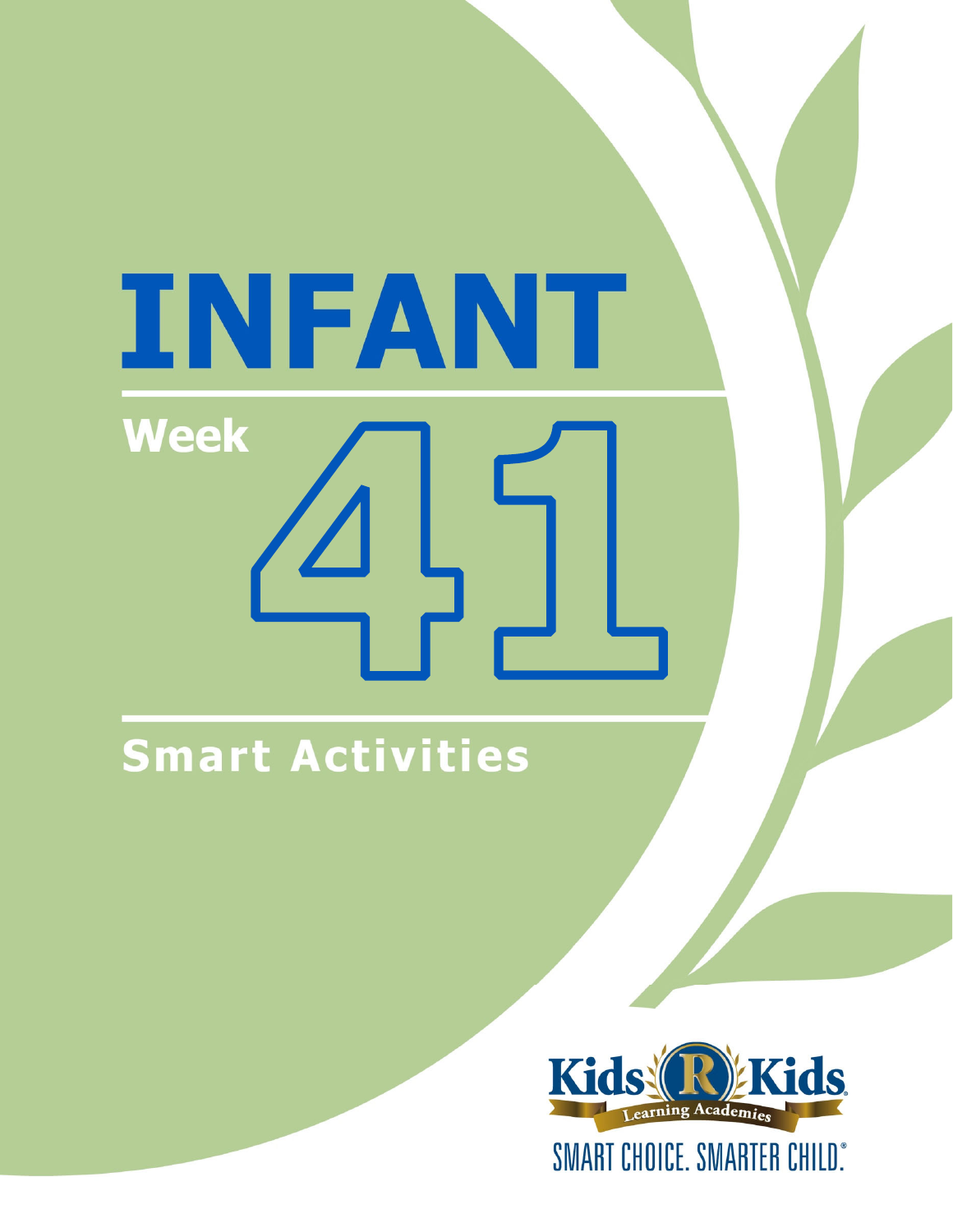# INFANT **Week**

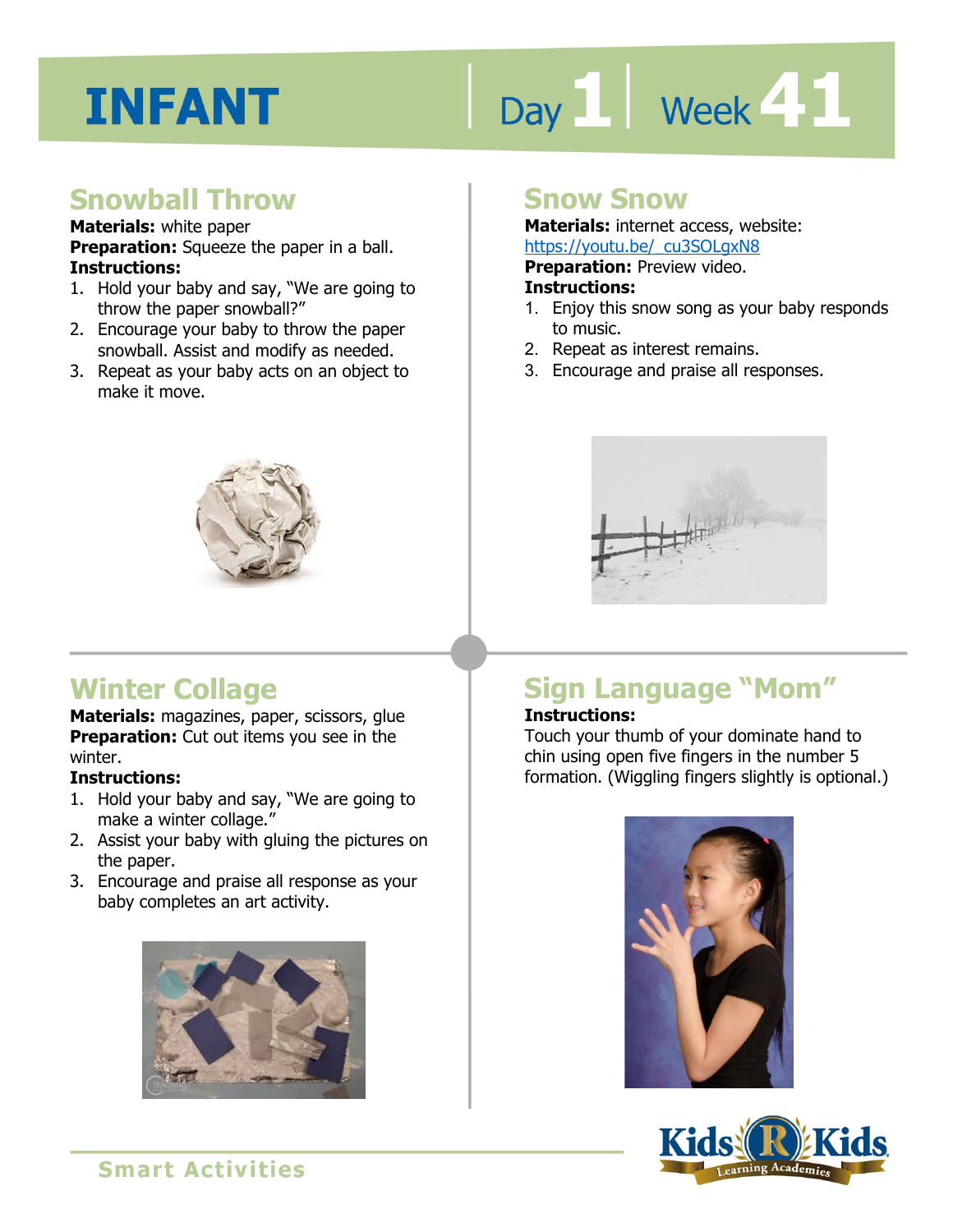# Day 1 **Week 41**

#### **Snowball Throw**

#### **Materials:** white paper

**Preparation:** Squeeze the paper in a ball. **Instructions:** 

- 1. Hold your baby and say, "We are going to throw the paper snowball?"
- 2. Encourage your baby to throw the paper snowball. Assist and modify as needed.
- 3. Repeat as your baby acts on an object to make it move.



#### **Snow Snow**

**Materials:** internet access, website: https://youtu.be/\_cu3SOLgxN8

**Preparation:** Preview video.

#### **Instructions:**

- **IRCDS.//YOULLI.DE/\_CUSSOLGANO**<br>**Preparation:** Preview video.<br>**Instructions:**<br>1. Enjoy this snow song as your baby responds to music.
- 2. Repeat as interest remains.
- 3. Encourage and praise all responses.



#### **Winter Collage**

**Materials:** magazines, paper, scissors, glue **Preparation:** Cut out items you see in the winter.

#### **Instructions:**

- 1. Hold your baby and say, "We are going to make a winter collage."
- 2. Assist your baby with gluing the pictures on the paper.
- 3. Encourage and praise all response as your baby completes an art activity.



#### **Sign Language "Mom"**

#### **Instructions:**

Touch your thumb of your dominate hand to chin using open five fingers in the number 5 formation. (Wiggling fingers slightly is optional.)



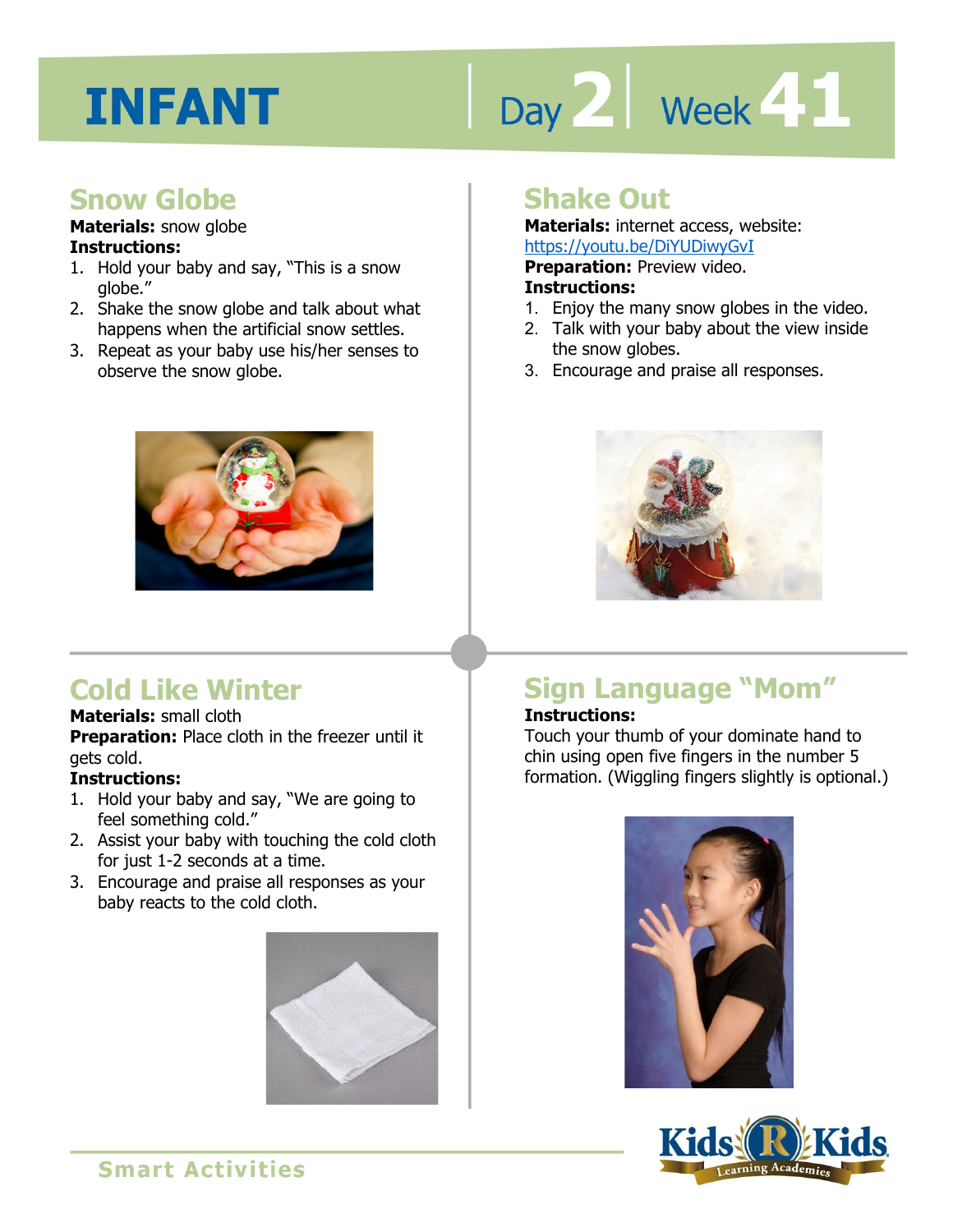# Day 2 **Week 41**

#### **Snow Globe**

#### **Materials:** snow globe **Instructions:**

- 1. Hold your baby and say, "This is a snow globe."
- 2. Shake the snow globe and talk about what happens when the artificial snow settles.
- 3. Repeat as your baby use his/her senses to observe the snow globe.



#### **Cold Like Winter**

#### **Materials:** small cloth

**Preparation:** Place cloth in the freezer until it gets cold.

#### **Instructions:**

- 1. Hold your baby and say, "We are going to feel something cold."
- 2. Assist your baby with touching the cold cloth for just 1-2 seconds at a time.
- 3. Encourage and praise all responses as your baby reacts to the cold cloth.



#### **Shake Out**

**Materials:** internet access, website: https://youtu.be/DiYUDiwyGvI

**Preparation: Preview video.** 

#### **Instructions:**

- **IRCDS.//YOUGLI.DE/DITODIWYGVI<br><b>Preparation:** Preview video.<br>1. Enjoy the many snow globes in the video.
- 2. Talk with your baby about the view inside the snow globes.
- 3. Encourage and praise all responses.



#### **Sign Language "Mom"**

#### **Instructions:**

Touch your thumb of your dominate hand to chin using open five fingers in the number 5 formation. (Wiggling fingers slightly is optional.)



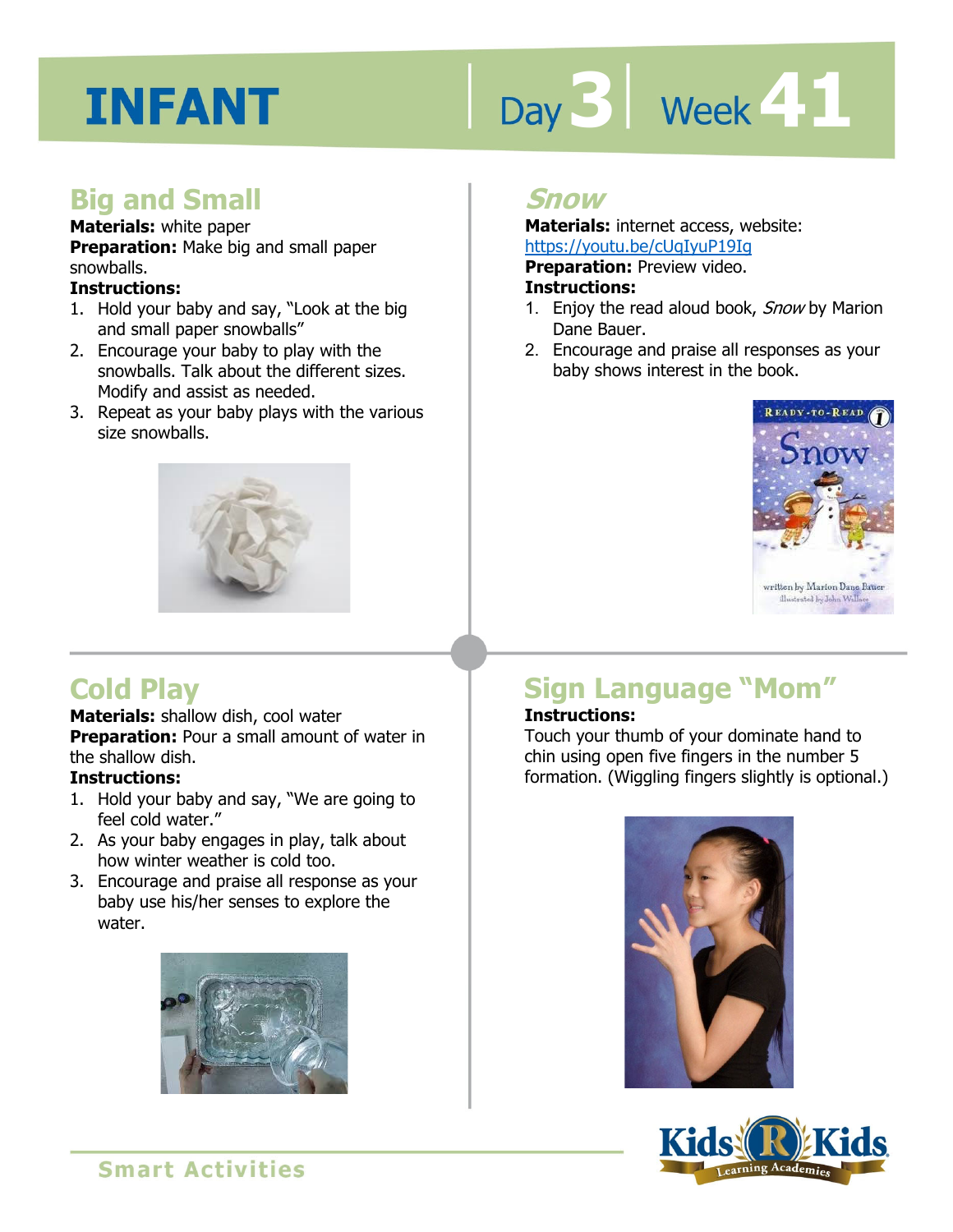# Day 3 | Week 41

#### **Big and Small**

#### **Materials:** white paper

**Preparation:** Make big and small paper snowballs.

#### **Instructions:**

- 1. Hold your baby and say, "Look at the big and small paper snowballs"
- 2. Encourage your baby to play with the snowballs. Talk about the different sizes. Modify and assist as needed.
- 3. Repeat as your baby plays with the various size snowballs.



#### **Snow**

**Materials:** internet access, website: https://youtu.be/cUqIyuP19Ig

**Preparation: Preview video.** 

#### **Instructions:**

- <u>IIIIps.//youtu.be/coqfyur F91g</u><br>**Preparation:** Preview video.<br>**Instructions:**<br>1. Enjoy the read aloud book, *Snow* by Marion Dane Bauer.
- 2. Encourage and praise all responses as your baby shows interest in the book.



#### **Cold Play**

#### **Materials:** shallow dish, cool water

**Preparation:** Pour a small amount of water in the shallow dish.

#### **Instructions:**

- 1. Hold your baby and say, "We are going to feel cold water."
- 2. As your baby engages in play, talk about how winter weather is cold too.
- 3. Encourage and praise all response as your baby use his/her senses to explore the water.



#### **Sign Language "Mom"**

#### **Instructions:**

Touch your thumb of your dominate hand to chin using open five fingers in the number 5 formation. (Wiggling fingers slightly is optional.)



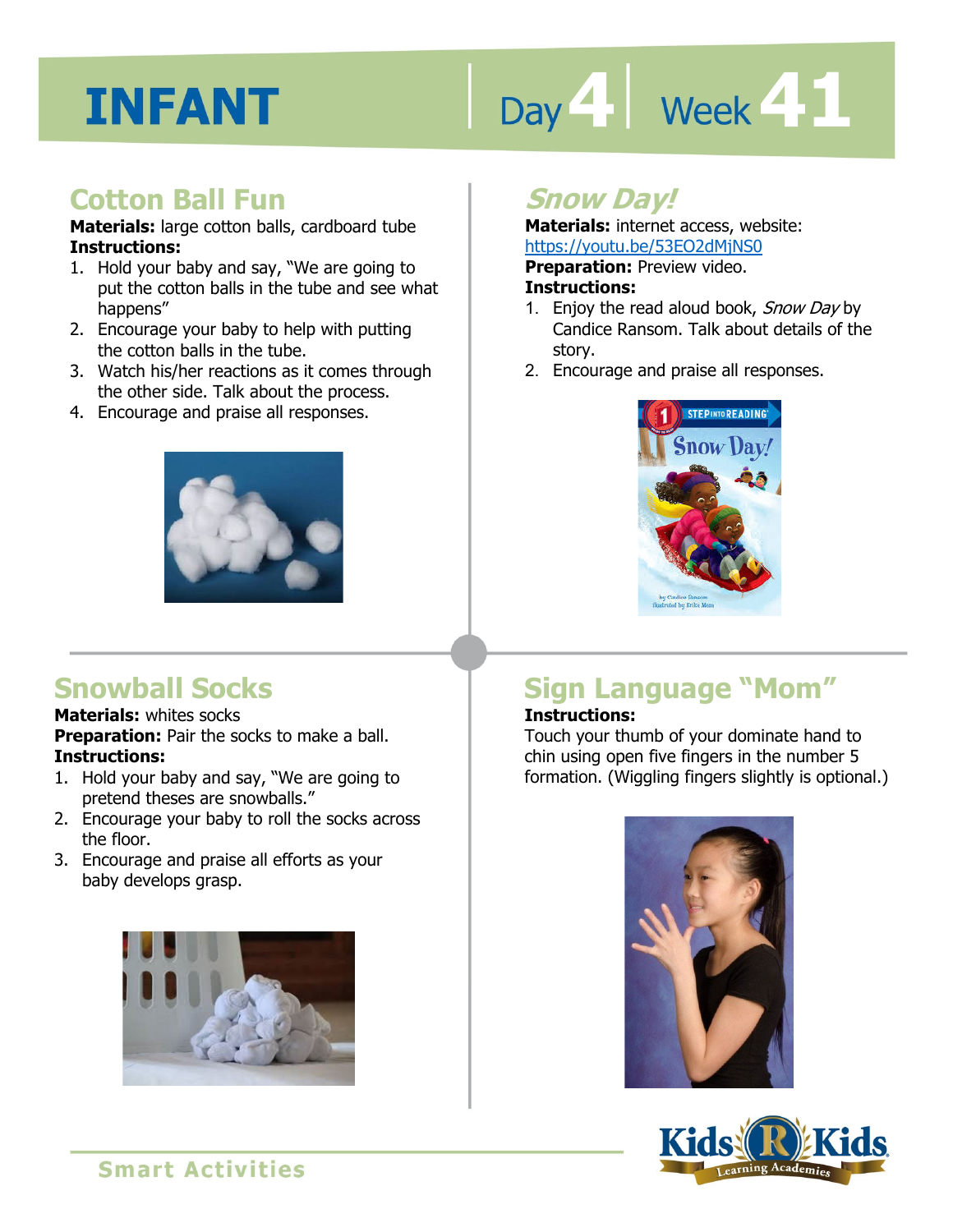## Day 4 **Week 41**

#### **Cotton Ball Fun**

**Materials:** large cotton balls, cardboard tube **Instructions:** 

- 1. Hold your baby and say, "We are going to put the cotton balls in the tube and see what happens"
- 2. Encourage your baby to help with putting the cotton balls in the tube.
- 3. Watch his/her reactions as it comes through the other side. Talk about the process.
- 4. Encourage and praise all responses.



#### **Snowball Socks**

#### **Materials:** whites socks

**Preparation:** Pair the socks to make a ball. **Instructions:** 

- 1. Hold your baby and say, "We are going to pretend theses are snowballs."
- 2. Encourage your baby to roll the socks across the floor.
- 3. Encourage and praise all efforts as your baby develops grasp.



#### **Snow Day!**

**Materials:** internet access, website: https://youtu.be/53EO2dMjNS0

**Preparation:** Preview video.

#### **Instructions:**

- **IRCDS.//YOULG.DE/SSLOZGPIJNS0<br><b>Preparation:** Preview video.<br>**Instructions:**<br>1. Enjoy the read aloud book, *Snow Day* by Candice Ransom. Talk about details of the story.
- 2. Encourage and praise all responses.



#### **Sign Language "Mom"**

#### **Instructions:**

Touch your thumb of your dominate hand to chin using open five fingers in the number 5 formation. (Wiggling fingers slightly is optional.)